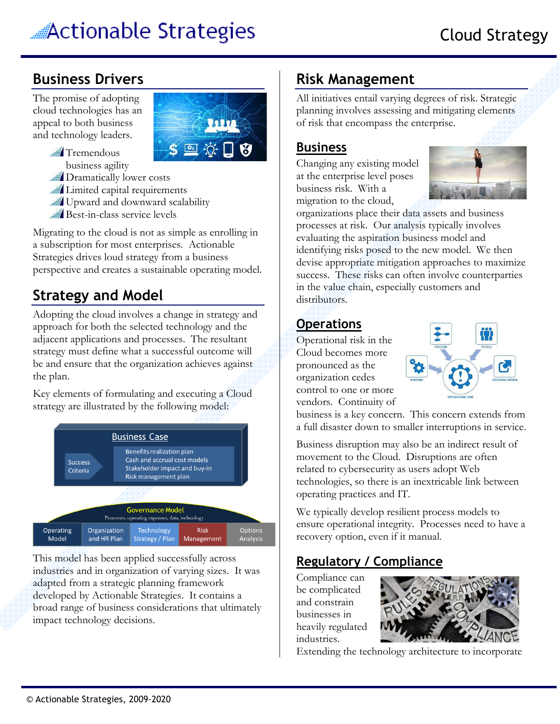# Actionable Strategies

## **Business Drivers**

The promise of adopting cloud technologies has an appeal to both business and technology leaders.



**Tremendous** business agility

Dramatically lower costs

**Limited capital requirements** 

Upward and downward scalability

Best-in-class service levels

Migrating to the cloud is not as simple as enrolling in a subscription for most enterprises. Actionable Strategies drives loud strategy from a business perspective and creates a sustainable operating model.

# **Strategy and Model**

Adopting the cloud involves a change in strategy and approach for both the selected technology and the adjacent applications and processes. The resultant strategy must define what a successful outcome will be and ensure that the organization achieves against the plan.

Key elements of formulating and executing a Cloud strategy are illustrated by the following model:



This model has been applied successfully across industries and in organization of varying sizes. It was adapted from a strategic planning framework developed by Actionable Strategies. It contains a broad range of business considerations that ultimately impact technology decisions.

# **Risk Management**

All initiatives entail varying degrees of risk. Strategic planning involves assessing and mitigating elements of risk that encompass the enterprise.

#### **Business**

Changing any existing model at the enterprise level poses business risk. With a migration to the cloud,



organizations place their data assets and business processes at risk. Our analysis typically involves evaluating the aspiration business model and identifying risks posed to the new model. We then devise appropriate mitigation approaches to maximize success. These risks can often involve counterparties in the value chain, especially customers and distributors.

#### **Operations**

Operational risk in the Cloud becomes more pronounced as the organization cedes control to one or more vendors. Continuity of



business is a key concern. This concern extends from a full disaster down to smaller interruptions in service.

Business disruption may also be an indirect result of movement to the Cloud. Disruptions are often related to cybersecurity as users adopt Web technologies, so there is an inextricable link between operating practices and IT.

We typically develop resilient process models to ensure operational integrity. Processes need to have a recovery option, even if it manual.

### **Regulatory / Compliance**

Compliance can be complicated and constrain businesses in heavily regulated industries.



Extending the technology architecture to incorporate